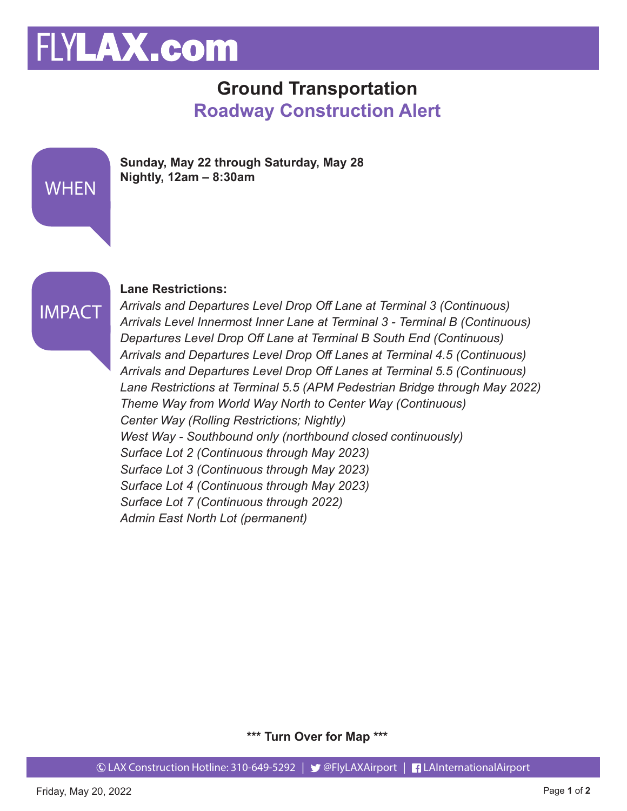# FLYLAX.com

### **Ground Transportation Roadway Construction Alert**

|             | Sunday, May 22 through Saturday, May 28<br>Nightly, $12am - 8:30am$ |
|-------------|---------------------------------------------------------------------|
| <b>WHEN</b> |                                                                     |



#### **Lane Restrictions:**

*Arrivals and Departures Level Drop Off Lane at Terminal 3 (Continuous) Arrivals Level Innermost Inner Lane at Terminal 3 - Terminal B (Continuous) Departures Level Drop Off Lane at Terminal B South End (Continuous) Arrivals and Departures Level Drop Off Lanes at Terminal 4.5 (Continuous) Arrivals and Departures Level Drop Off Lanes at Terminal 5.5 (Continuous) Lane Restrictions at Terminal 5.5 (APM Pedestrian Bridge through May 2022) Theme Way from World Way North to Center Way (Continuous) Center Way (Rolling Restrictions; Nightly) West Way - Southbound only (northbound closed continuously) Surface Lot 2 (Continuous through May 2023) Surface Lot 3 (Continuous through May 2023) Surface Lot 4 (Continuous through May 2023) Surface Lot 7 (Continuous through 2022) Admin East North Lot (permanent)*

**\*\*\* Turn Over for Map \*\*\***